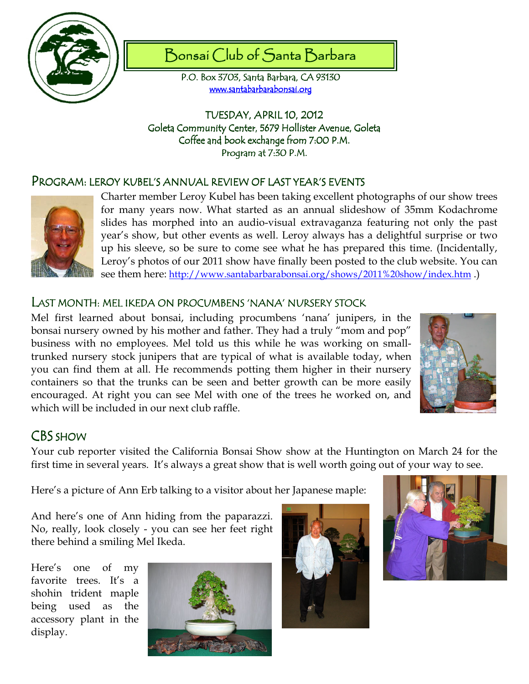

# Bonsai Club of Santa Barbara

P.O. Box 3703, Santa Barbara, CA 93130 www.santabarbarabonsai.org

TUESDAY, APRIL 10, 2012 Goleta Community Center, 5679 Hollister Avenue, Goleta Coffee and book exchange from 7:00 P.M. Program at 7:30 P.M.

### PROGRAM: ROGRAM:LEROY KUBEL'S ANNUAL REVIEW OF LAST YEAR'S EVENTS LEROY LAST YEAR'S EVENTS EVENTS



Charter member Leroy Kubel has been taking excellent photographs of our show trees for many years now. What started as an annual slideshow of 35mm Kodachrome slides has morphed into an audio-visual extravaganza featuring not only the past year's show, but other events as well. Leroy always has a delightful surprise or two up his sleeve, so be sure to come see what he has prepared this time. (Incidentally, Leroy's photos of our 2011 show have finally been posted to the club website. You can see them here: http://www.santabarbarabonsai.org/shows/2011%20show/index.htm .)

#### LAST MONTH: MEL IKEDA ON PROCUMBENS 'NANA' NURSERY STOCK

Mel first learned about bonsai, including procumbens 'nana' junipers, in the bonsai nursery owned by his mother and father. They had a truly "mom and pop" business with no employees. Mel told us this while he was working on smalltrunked nursery stock junipers that are typical of what is available today, when you can find them at all. He recommends potting them higher in their nursery containers so that the trunks can be seen and better growth can be more easily encouraged. At right you can see Mel with one of the trees he worked on, and which will be included in our next club raffle.



# CBS<sub>SHOW</sub>

Your cub reporter visited the California Bonsai Show show at the Huntington on March 24 for the first time in several years. It's always a great show that is well worth going out of your way to see.

Here's a picture of Ann Erb talking to a visitor about her Japanese maple:

And here's one of Ann hiding from the paparazzi. No, really, look closely - you can see her feet right there behind a smiling Mel Ikeda.

Here's one of my favorite trees. It's a shohin trident maple being used as the accessory plant in the display.